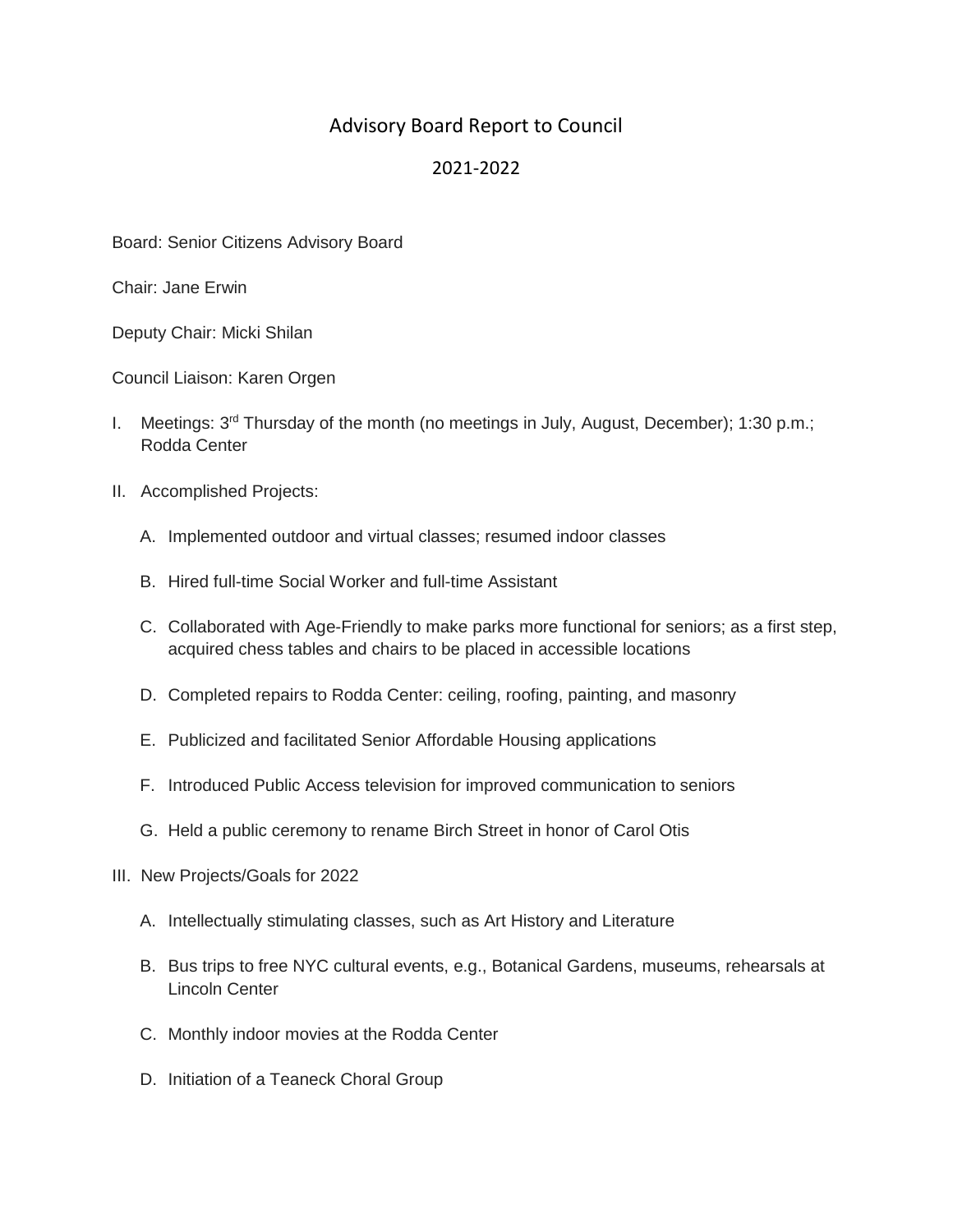## Advisory Board Report to Council

## 2021-2022

Board: Senior Citizens Advisory Board

Chair: Jane Erwin

Deputy Chair: Micki Shilan

Council Liaison: Karen Orgen

- I. Meetings:  $3<sup>rd</sup>$  Thursday of the month (no meetings in July, August, December); 1:30 p.m.; Rodda Center
- II. Accomplished Projects:
	- A. Implemented outdoor and virtual classes; resumed indoor classes
	- B. Hired full-time Social Worker and full-time Assistant
	- C. Collaborated with Age-Friendly to make parks more functional for seniors; as a first step, acquired chess tables and chairs to be placed in accessible locations
	- D. Completed repairs to Rodda Center: ceiling, roofing, painting, and masonry
	- E. Publicized and facilitated Senior Affordable Housing applications
	- F. Introduced Public Access television for improved communication to seniors
	- G. Held a public ceremony to rename Birch Street in honor of Carol Otis
- III. New Projects/Goals for 2022
	- A. Intellectually stimulating classes, such as Art History and Literature
	- B. Bus trips to free NYC cultural events, e.g., Botanical Gardens, museums, rehearsals at Lincoln Center
	- C. Monthly indoor movies at the Rodda Center
	- D. Initiation of a Teaneck Choral Group